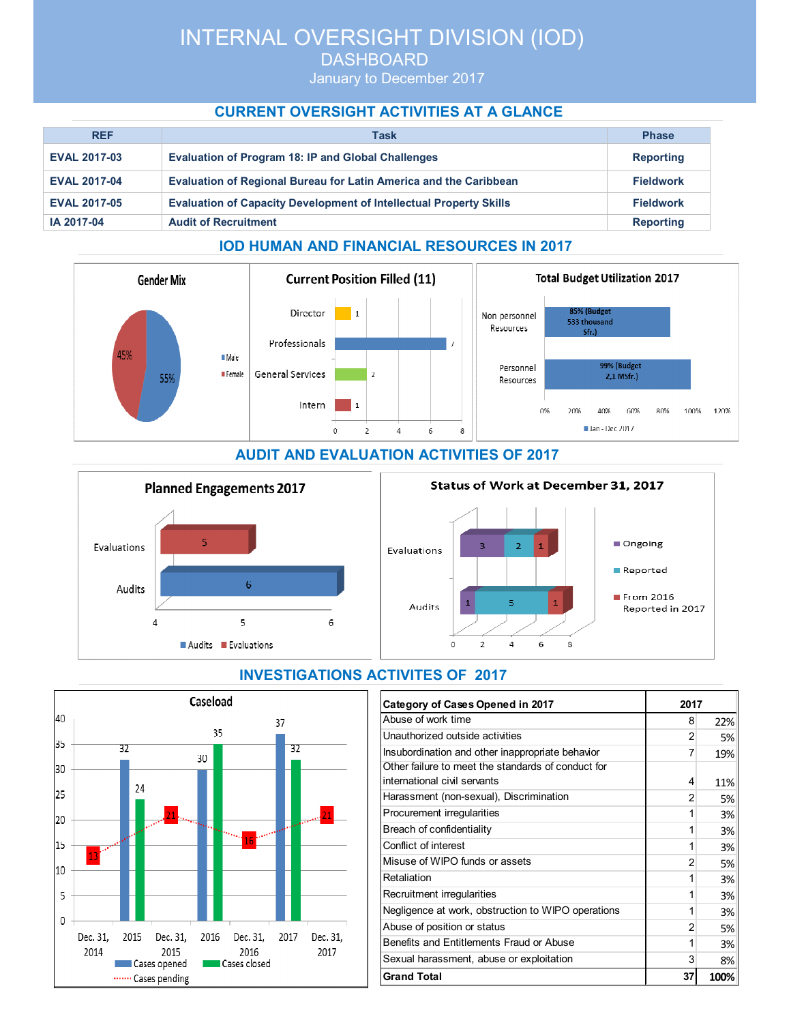# INTERNAL OVERSIGHT DIVISION (IOD)

**DASHBOARD** 

January to December 2017

## **CURRENT OVERSIGHT ACTIVITIES AT A GLANCE**

| <b>REF</b>          | Task                                                                      | <b>Phase</b>     |
|---------------------|---------------------------------------------------------------------------|------------------|
| <b>EVAL 2017-03</b> | <b>Evaluation of Program 18: IP and Global Challenges</b>                 | <b>Reporting</b> |
| <b>EVAL 2017-04</b> | <b>Evaluation of Regional Bureau for Latin America and the Caribbean</b>  | <b>Fieldwork</b> |
| <b>EVAL 2017-05</b> | <b>Evaluation of Capacity Development of Intellectual Property Skills</b> | <b>Fieldwork</b> |
| IA 2017-04          | <b>Audit of Recruitment</b>                                               | <b>Reporting</b> |

### **IOD HUMAN AND FINANCIAL RESOURCES IN 2017**





## **INVESTIGATIONS ACTIVITES OF 2017**

| Category of Cases Opened in 2017                                                   | 2017 |      |
|------------------------------------------------------------------------------------|------|------|
| Abuse of work time                                                                 | 8    | 22%  |
| Unauthorized outside activities                                                    | 2    | 5%   |
| Insubordination and other inappropriate behavior                                   | 7    | 19%  |
| Other failure to meet the standards of conduct for<br>international civil servants | 4    | 11%  |
| Harassment (non-sexual), Discrimination                                            | 2    | 5%   |
| Procurement irregularities                                                         | 1    | 3%   |
| Breach of confidentiality                                                          | 1    | 3%   |
| Conflict of interest                                                               | 1    | 3%   |
| Misuse of WIPO funds or assets                                                     | 2    | 5%   |
| Retaliation                                                                        | 1    | 3%   |
| Recruitment irregularities                                                         | 1    | 3%   |
| Negligence at work, obstruction to WIPO operations                                 | 1    | 3%   |
| Abuse of position or status                                                        | 2    | 5%   |
| Benefits and Entitlements Fraud or Abuse                                           | 1    | 3%   |
| Sexual harassment, abuse or exploitation                                           | 3    | 8%   |
| <b>Grand Total</b>                                                                 | 37   | 100% |